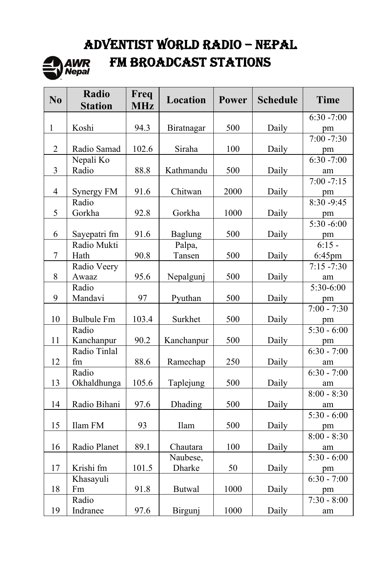# ADVENTIST WORLD RADIO – NEPAL



# FM BROADCAST STATIONS

| $\bf{N0}$      | Radio<br><b>Station</b> | Freq<br><b>MHz</b> | Location      | <b>Power</b> | <b>Schedule</b> | <b>Time</b>             |
|----------------|-------------------------|--------------------|---------------|--------------|-----------------|-------------------------|
|                |                         |                    |               |              |                 | $6:30 - 7:00$           |
| $\mathbf{1}$   | Koshi                   | 94.3               | Biratnagar    | 500          | Daily           | pm                      |
|                |                         |                    |               |              |                 | $7:00 - 7:30$           |
| $\overline{2}$ | Radio Samad             | 102.6              | Siraha        | 100          | Daily           | pm                      |
|                | Nepali Ko               |                    |               |              |                 | $6:30 - 7:00$           |
| 3              | Radio                   | 88.8               | Kathmandu     | 500          | Daily           | am                      |
|                |                         |                    |               |              |                 | $7:00 - 7:15$           |
| $\overline{4}$ | Synergy FM              | 91.6               | Chitwan       | 2000         | Daily           | pm                      |
|                | Radio                   |                    |               |              |                 | 8:30 -9:45              |
| 5              | Gorkha                  | 92.8               | Gorkha        | 1000         | Daily           | pm                      |
|                |                         |                    |               |              |                 | $5:30 - 6:00$           |
| 6              | Sayepatri fm            | 91.6               | Baglung       | 500          | Daily           | pm                      |
|                | Radio Mukti             |                    | Palpa,        |              |                 | $6:15 -$                |
| 7              | Hath                    | 90.8               | Tansen        | 500          | Daily           | 6:45pm                  |
|                | Radio Veery             |                    |               |              |                 | $7:15 - 7:30$           |
| 8              | Awaaz                   | 95.6               | Nepalgunj     | 500          | Daily           | am                      |
|                | Radio                   |                    |               |              |                 | $\overline{5:30}$ -6:00 |
| 9              | Mandavi                 | 97                 | Pyuthan       | 500          | Daily           | pm                      |
|                |                         |                    |               |              |                 | $7:00 - 7:30$           |
| 10             | <b>Bulbule Fm</b>       | 103.4              | Surkhet       | 500          | Daily           | pm                      |
|                | Radio                   |                    |               |              |                 | $5:30 - 6:00$           |
| 11             | Kanchanpur              | 90.2               | Kanchanpur    | 500          | Daily           | pm                      |
|                | Radio Tinlal            |                    |               |              |                 | $6:30 - 7:00$           |
| 12             | fm                      | 88.6               | Ramechap      | 250          | Daily           | am                      |
|                | Radio                   |                    |               |              |                 | $6:30 - 7:00$           |
| 13             | Okhaldhunga             | 105.6              | Taplejung     | 500          | Daily           | am                      |
|                |                         |                    |               |              |                 | $8:00 - 8:30$           |
| 14             | Radio Bihani            | 97.6               | Dhading       | 500          | Daily           | am                      |
|                |                         |                    |               |              |                 | $5:30 - 6:00$           |
| 15             | Ilam FM                 | 93                 | Ilam          | 500          | Daily           | pm                      |
|                |                         |                    |               |              |                 | $8:00 - 8:30$           |
| 16             | Radio Planet            | 89.1               | Chautara      | 100          | Daily           | am<br>$5:30 - 6:00$     |
|                |                         |                    | Naubese,      |              |                 |                         |
| 17             | Krishi fm               | 101.5              | Dharke        | 50           | Daily           | pm<br>$6:30 - 7:00$     |
|                | Khasayuli               |                    |               |              |                 |                         |
| 18             | Fm<br>Radio             | 91.8               | <b>Butwal</b> | 1000         | Daily           | pm                      |
|                |                         |                    |               |              |                 | $7:30 - 8:00$           |
| 19             | Indranee                | 97.6               | Birgunj       | 1000         | Daily           | am                      |